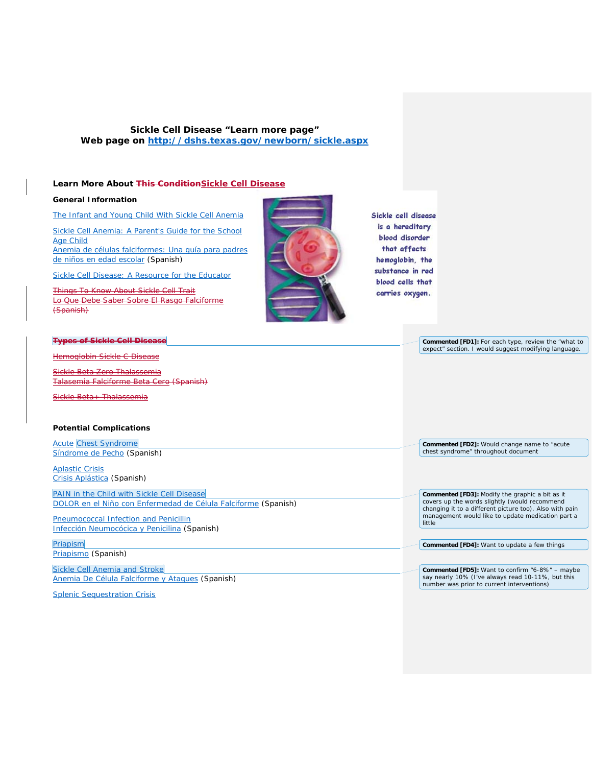# **Sickle Cell Disease "Learn more page" Web page on<http://dshs.texas.gov/newborn/sickle.aspx>**

### **Learn More About This ConditionSickle Cell Disease**

## **General Information**

[The Infant and Young Child With Sickle Cell Anemia](http://dshs.texas.gov/newborn/young.shtm)

Sickle Cell Anemia: A Parent's Guide for the School [Age Child](http://dshs.texas.gov/newborn/parents.aspx) [Anemia de células falciformes: Una guía para padres](http://dshs.texas.gov/WorkArea/linkit.aspx?LinkIdentifier=id&ItemID=2441&LangType=1034)  [de niños en edad escolar](http://dshs.texas.gov/WorkArea/linkit.aspx?LinkIdentifier=id&ItemID=2441&LangType=1034) (Spanish)

[Sickle Cell Disease: A Resource for the Educator](http://dshs.texas.gov/newborn/educate.shtm)

Things To Know About Sickle Cell Trait Lo Que Debe Saber Sobre El Rasgo Falciforme (Spanish)



Sickle cell disease is a hereditary blood disorder that affects hemoglobin, the substance in red blood cells that carries oxygen.

| <b>Types of Siekle Cell Disease</b>                            | <b>Commented [FD1]:</b> For each type, review the "what to                                               |
|----------------------------------------------------------------|----------------------------------------------------------------------------------------------------------|
| Hemoglobin Sickle C Disease                                    | expect" section. I would suggest modifying language.                                                     |
| Sickle Beta Zero Thalassemia                                   |                                                                                                          |
| Talasemia Falciforme Beta Cero (Spanish)                       |                                                                                                          |
| Sickle Beta+ Thalassemia                                       |                                                                                                          |
| <b>Potential Complications</b>                                 |                                                                                                          |
| <b>Acute Chest Syndrome</b>                                    | Commented [FD2]: Would change name to "acute                                                             |
| Síndrome de Pecho (Spanish)                                    | chest syndrome" throughout document                                                                      |
| <b>Aplastic Crisis</b>                                         |                                                                                                          |
| Crisis Aplástica (Spanish)                                     |                                                                                                          |
| PAIN in the Child with Sickle Cell Disease                     | Commented [FD3]: Modify the graphic a bit as it                                                          |
| DOLOR en el Niño con Enfermedad de Célula Falciforme (Spanish) | covers up the words slightly (would recommend<br>changing it to a different picture too). Also with pain |
| <b>Pneumococcal Infection and Penicillin</b>                   | management would like to update medication part a<br>little                                              |
| Infección Neumocócica y Penicilina (Spanish)                   |                                                                                                          |
| Priapism                                                       | Commented [FD4]: Want to update a few things                                                             |
| Priapismo (Spanish)                                            |                                                                                                          |
| Sickle Cell Anemia and Stroke                                  | <b>Commented [FD5]:</b> Want to confirm "6-8%" - maybe                                                   |
| Anemia De Célula Falciforme y Ataques (Spanish)                | say nearly 10% (I've always read 10-11%, but this<br>number was prior to current interventions)          |
| <b>Splenic Sequestration Crisis</b>                            |                                                                                                          |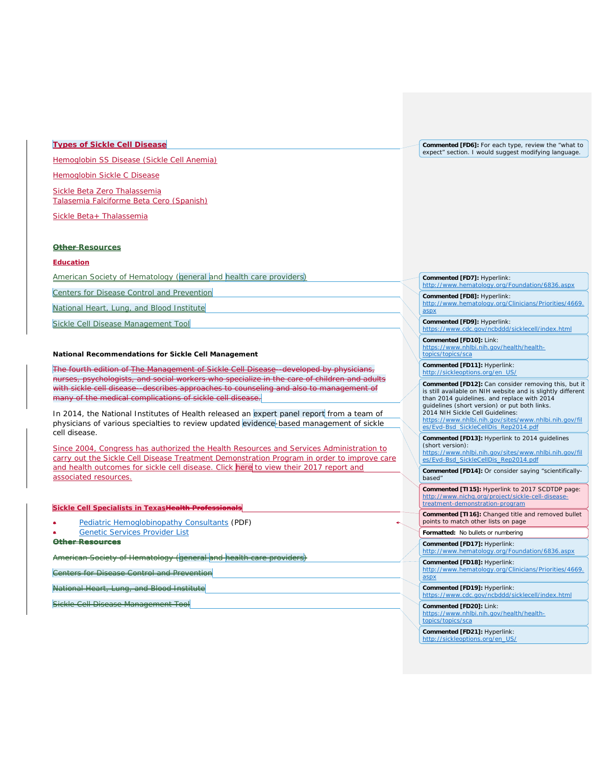# **Types of Sickle Cell Disease**

Hemoglobin SS Disease (Sickle Cell Anemia)

[Hemoglobin Sickle C Disease](http://dshs.texas.gov/newborn/hemo_c2.shtm)

[Sickle Beta Zero Thalassemia](http://dshs.texas.gov/newborn/beta.shtm) [Talasemia Falciforme Beta Cero](http://dshs.texas.gov/WorkArea/linkit.aspx?LinkIdentifier=id&ItemID=2325&LangType=1034) (Spanish)

[Sickle Beta+ Thalassemia](http://dshs.texas.gov/newborn/thala.shtm)

#### **Other Resources**

#### **Education**

American Society of Hematology (general and health care providers)

Centers for Disease Control and Prevention

National Heart, Lung, and Blood Institute

Sickle Cell Disease Management Tool

#### **National Recommendations for Sickle Cell Management**

The fourth edition of The Management of Sickle Cell Disease--developed by physicians, nurses, psychologists, and social workers who specialize in the care of children and adults with sickle cell disease--describes approaches to counseling and also to management of many of the medical complications of sickle cell disease.

In 2014, the National Institutes of Health released an expert panel report from a team of physicians of various specialties to review updated evidence-based management of sickle cell disease.

Since 2004, Congress has authorized the Health Resources and Services Administration to carry out the Sickle Cell Disease Treatment Demonstration Program in order to improve care and health outcomes for sickle cell disease. Click here to view their 2017 report and associated resources.

#### **Sickle Cell Specialists in TexasHealth Professionals**

- **[Pediatric Hemoglobinopathy Consultants](http://dshs.texas.gov/WorkArea/linkit.aspx?LinkIdentifier=id&ItemID=8589990687) (PDF)**
- [Genetic Services Provider List](http://dshs.texas.gov/genetics/provider.shtm)

#### **Other Resources**

herican Society of Hematology (general <mark>and health c</mark>a

Centers for Disease Control and Prevention

National Heart, Lung, and Blood Institute

Sickle Cell Disease Management Tool

**Commented [FD6]:** For each type, review the "what to expect" section. I would suggest modifying language.

**Commented [FD7]: Hyperlink:**<br>http://www.hematology.org/F .<br>gy.org/Foundation/6836.aspx

#### **Commented [FD8]:** Hyperlink: [http://www.hematology.org/Clinicians/Priorities/4669.](http://www.hematology.org/Clinicians/Priorities/4669.aspx)

[aspx](http://www.hematology.org/Clinicians/Priorities/4669.aspx)

**Commented [FD9]:** Hyperlink: <https://www.cdc.gov/ncbddd/sicklecell/index.html>

**Commented [FD10]:** Link: [https://www.nhlbi.nih.gov/health/health](https://www.nhlbi.nih.gov/health/health-topics/topics/sca)[topics/topics/sca](https://www.nhlbi.nih.gov/health/health-topics/topics/sca)

**Commented [FD11]:** Hyperlink: //sickleoptions.org/en\_US

**Commented [FD12]:** Can consider removing this, but it is still available on NIH website and is slightly different than 2014 guidelines. and replace with 2014 guidelines (short version) or put both links. 2014 NIH Sickle Cell Guidelines: [https://www.nhlbi.nih.gov/sites/www.nhlbi.nih.gov/fil](https://www.nhlbi.nih.gov/sites/www.nhlbi.nih.gov/files/Evd-Bsd_SickleCellDis_Rep2014.pdf) [es/Evd-Bsd\\_SickleCellDis\\_Rep2014.pdf](https://www.nhlbi.nih.gov/sites/www.nhlbi.nih.gov/files/Evd-Bsd_SickleCellDis_Rep2014.pdf) **Commented [FD13]:** Hyperlink to 2014 guidelines (short version):

[https://www.nhlbi.nih.gov/sites/www.nhlbi.nih.gov/fil](https://www.nhlbi.nih.gov/sites/www.nhlbi.nih.gov/files/Evd-Bsd_SickleCellDis_Rep2014.pdf) [es/Evd-Bsd\\_SickleCellDis\\_Rep2014.pdf](https://www.nhlbi.nih.gov/sites/www.nhlbi.nih.gov/files/Evd-Bsd_SickleCellDis_Rep2014.pdf)

**Commented [FD14]:** Or consider saying "scientificallybased"

**Commented [TI15]:** Hyperlink to 2017 SCDTDP page: [http://www.nichq.org/project/sickle-cell-disease](http://www.nichq.org/project/sickle-cell-disease-treatment-demonstration-program)[treatment-demonstration-program](http://www.nichq.org/project/sickle-cell-disease-treatment-demonstration-program)

**Commented [TI16]:** Changed title and removed bullet points to match other lists on page

**Formatted:** No bullets or numbering

**Commented [FD17]: Hyperlink:**<br>http://www.hematology.org/Fc http://www.org/Foundation/6836.aspx

**Commented [FD18]:** Hyperlink: [http://www.hematology.org/Clinicians/Priorities/4669.](http://www.hematology.org/Clinicians/Priorities/4669.aspx)

**Commented [FD19]:** Hyperlink: <https://www.cdc.gov/ncbddd/sicklecell/index.html>

**Commented [FD20]:** Link:

[https://www.nhlbi.nih.gov/health/health](https://www.nhlbi.nih.gov/health/health-topics/topics/sca)[topics/topics/sca](https://www.nhlbi.nih.gov/health/health-topics/topics/sca)

**Commented [FD21]:** Hyperlink: [http://sickleoptions.org/en\\_US/](http://sickleoptions.org/en_US/)

[aspx](http://www.hematology.org/Clinicians/Priorities/4669.aspx)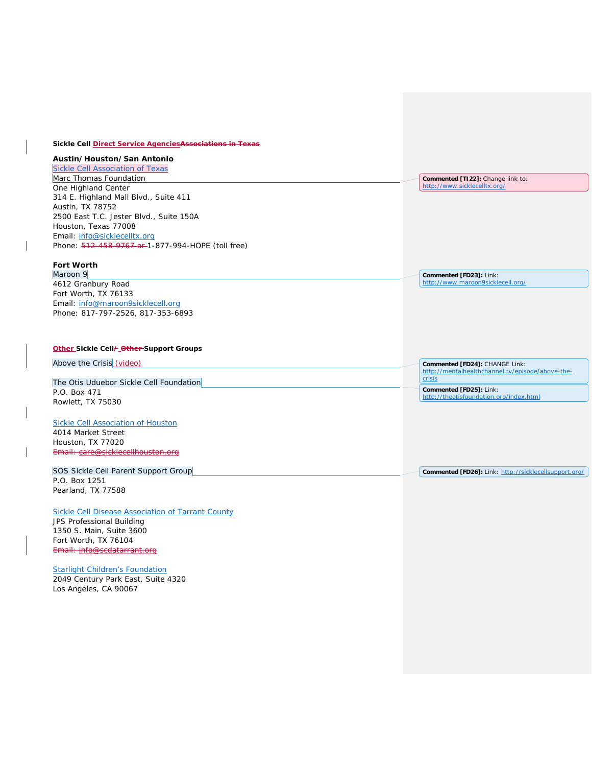## **Sickle Cell Direct Service AgenciesAssociations in Texas**

# **Austin/Houston/San Antonio**

| Sickle Cell Association of Texas                  |                                   |
|---------------------------------------------------|-----------------------------------|
| Marc Thomas Foundation                            | Commented [T122]: Change link to: |
| One Highland Center                               | http://www.sicklecelltx.org/      |
| 314 E. Highland Mall Blvd., Suite 411             |                                   |
| Austin, TX 78752                                  |                                   |
| 2500 East T.C. Jester Blvd., Suite 150A           |                                   |
| Houston, Texas 77008                              |                                   |
| Email: info@sicklecelltx.org                      |                                   |
| Phone: 512-458-9767 or 1-877-994-HOPE (toll free) |                                   |
|                                                   |                                   |

**Commented [FD23]:** Link: <http://www.maroon9sicklecell.org/>

# **Fort Worth**

Maroon 9 4612 Granbury Road Fort Worth, TX 76133 Email: [info@maroon9sicklecell.org](mailto:info@maroon9sicklecell.org) Phone: 817-797-2526, 817-353-6893

## **Other Sickle Cell/ Other Support Groups**

| Above the Crisis (video)                                                    | Commented [FD24]: CHANGE Link:<br>http://mentalhealthchannel.tv/episode/above-the- |
|-----------------------------------------------------------------------------|------------------------------------------------------------------------------------|
| The Otis Uduebor Sickle Cell Foundation                                     | crisis                                                                             |
| P.O. Box 471<br>Rowlett, TX 75030                                           | Commented [FD25]: Link:<br>http://theotisfoundation.org/index.html                 |
| Sickle Cell Association of Houston<br>4014 Market Street                    |                                                                                    |
| Houston, TX 77020<br>Email: care@sicklecellhouston.org                      |                                                                                    |
| SOS Sickle Cell Parent Support Group<br>P.O. Box 1251<br>Pearland, TX 77588 | Commented [FD26]: Link: http://sicklecellsupport.org/                              |

# [Sickle Cell Disease Association of Tarrant County](http://www.scdatarrant.org/)

JPS Professional Building 1350 S. Main, Suite 3600 Fort Worth, TX 76104 Email: info@scdatarrant.org

### **[Starlight Children's Foundation](http://starlight.org/)**

2049 Century Park East, Suite 4320 Los Angeles, CA 90067